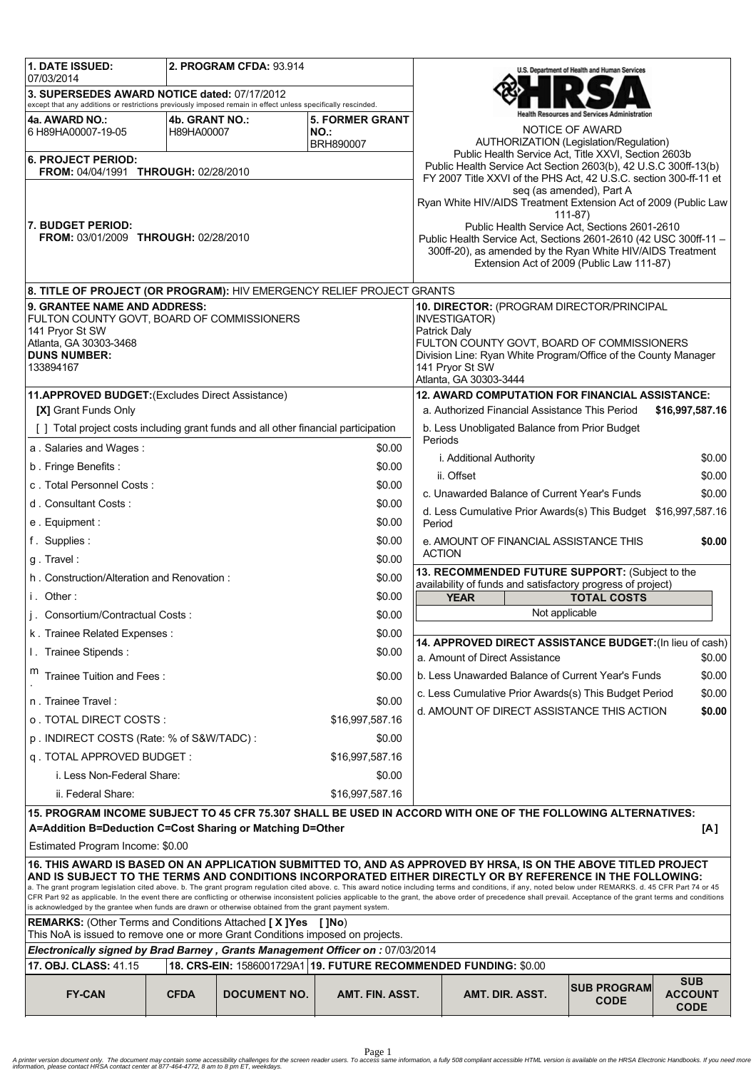| 1. DATE ISSUED:<br>07/03/2014                                                                                                                                                                                                                                                                                                                                                                                                     |                                            | <b>2. PROGRAM CFDA: 93.914</b> |                                                                                                  |                                                                   |                                                                                                                                | U.S. Department of Health and Human Services |                                             |
|-----------------------------------------------------------------------------------------------------------------------------------------------------------------------------------------------------------------------------------------------------------------------------------------------------------------------------------------------------------------------------------------------------------------------------------|--------------------------------------------|--------------------------------|--------------------------------------------------------------------------------------------------|-------------------------------------------------------------------|--------------------------------------------------------------------------------------------------------------------------------|----------------------------------------------|---------------------------------------------|
| 3. SUPERSEDES AWARD NOTICE dated: 07/17/2012                                                                                                                                                                                                                                                                                                                                                                                      |                                            |                                |                                                                                                  |                                                                   |                                                                                                                                |                                              |                                             |
| except that any additions or restrictions previously imposed remain in effect unless specifically rescinded.<br>4a. AWARD NO.:                                                                                                                                                                                                                                                                                                    | 4b. GRANT NO.:                             |                                | <b>5. FORMER GRANT</b>                                                                           |                                                                   |                                                                                                                                | ealth Resources and Services Administration  |                                             |
| 6 H89HA00007-19-05                                                                                                                                                                                                                                                                                                                                                                                                                | H89HA00007                                 |                                | NO.:                                                                                             |                                                                   |                                                                                                                                | NOTICE OF AWARD                              |                                             |
| BRH890007                                                                                                                                                                                                                                                                                                                                                                                                                         |                                            |                                |                                                                                                  |                                                                   | AUTHORIZATION (Legislation/Regulation)<br>Public Health Service Act, Title XXVI, Section 2603b                                 |                                              |                                             |
| <b>6. PROJECT PERIOD:</b><br>FROM: 04/04/1991 THROUGH: 02/28/2010                                                                                                                                                                                                                                                                                                                                                                 |                                            |                                |                                                                                                  |                                                                   | Public Health Service Act Section 2603(b), 42 U.S.C 300ff-13(b)                                                                |                                              |                                             |
|                                                                                                                                                                                                                                                                                                                                                                                                                                   |                                            |                                |                                                                                                  |                                                                   | FY 2007 Title XXVI of the PHS Act, 42 U.S.C. section 300-ff-11 et                                                              | seg (as amended), Part A                     |                                             |
|                                                                                                                                                                                                                                                                                                                                                                                                                                   |                                            |                                |                                                                                                  |                                                                   | Ryan White HIV/AIDS Treatment Extension Act of 2009 (Public Law                                                                |                                              |                                             |
| 7. BUDGET PERIOD:                                                                                                                                                                                                                                                                                                                                                                                                                 |                                            |                                |                                                                                                  |                                                                   | Public Health Service Act, Sections 2601-2610                                                                                  | $111 - 87$                                   |                                             |
| FROM: 03/01/2009 THROUGH: 02/28/2010                                                                                                                                                                                                                                                                                                                                                                                              |                                            |                                |                                                                                                  |                                                                   | Public Health Service Act, Sections 2601-2610 (42 USC 300ff-11 -<br>300ff-20), as amended by the Ryan White HIV/AIDS Treatment |                                              |                                             |
|                                                                                                                                                                                                                                                                                                                                                                                                                                   |                                            |                                |                                                                                                  |                                                                   | Extension Act of 2009 (Public Law 111-87)                                                                                      |                                              |                                             |
| 8. TITLE OF PROJECT (OR PROGRAM): HIV EMERGENCY RELIEF PROJECT GRANTS                                                                                                                                                                                                                                                                                                                                                             |                                            |                                |                                                                                                  |                                                                   |                                                                                                                                |                                              |                                             |
| 9. GRANTEE NAME AND ADDRESS:                                                                                                                                                                                                                                                                                                                                                                                                      |                                            |                                |                                                                                                  |                                                                   | 10. DIRECTOR: (PROGRAM DIRECTOR/PRINCIPAL                                                                                      |                                              |                                             |
| FULTON COUNTY GOVT, BOARD OF COMMISSIONERS<br>141 Prvor St SW                                                                                                                                                                                                                                                                                                                                                                     |                                            |                                |                                                                                                  | INVESTIGATOR)<br>Patrick Daly                                     |                                                                                                                                |                                              |                                             |
| Atlanta, GA 30303-3468                                                                                                                                                                                                                                                                                                                                                                                                            |                                            |                                |                                                                                                  |                                                                   | FULTON COUNTY GOVT, BOARD OF COMMISSIONERS                                                                                     |                                              |                                             |
| <b>DUNS NUMBER:</b><br>133894167                                                                                                                                                                                                                                                                                                                                                                                                  |                                            |                                |                                                                                                  |                                                                   | Division Line: Ryan White Program/Office of the County Manager<br>141 Pryor St SW                                              |                                              |                                             |
|                                                                                                                                                                                                                                                                                                                                                                                                                                   |                                            |                                |                                                                                                  |                                                                   | Atlanta, GA 30303-3444                                                                                                         |                                              |                                             |
| 11.APPROVED BUDGET: (Excludes Direct Assistance)                                                                                                                                                                                                                                                                                                                                                                                  |                                            |                                |                                                                                                  |                                                                   | 12. AWARD COMPUTATION FOR FINANCIAL ASSISTANCE:                                                                                |                                              |                                             |
| [X] Grant Funds Only                                                                                                                                                                                                                                                                                                                                                                                                              |                                            |                                |                                                                                                  |                                                                   | a. Authorized Financial Assistance This Period                                                                                 |                                              | \$16,997,587.16                             |
| [ ] Total project costs including grant funds and all other financial participation                                                                                                                                                                                                                                                                                                                                               |                                            |                                |                                                                                                  | b. Less Unobligated Balance from Prior Budget<br>Periods          |                                                                                                                                |                                              |                                             |
| a. Salaries and Wages:                                                                                                                                                                                                                                                                                                                                                                                                            |                                            |                                | \$0.00                                                                                           |                                                                   | i. Additional Authority                                                                                                        |                                              | \$0.00                                      |
| b. Fringe Benefits:                                                                                                                                                                                                                                                                                                                                                                                                               |                                            |                                | \$0.00                                                                                           |                                                                   | ii. Offset                                                                                                                     |                                              | \$0.00                                      |
| c. Total Personnel Costs:<br>d. Consultant Costs:                                                                                                                                                                                                                                                                                                                                                                                 |                                            |                                | \$0.00                                                                                           |                                                                   | c. Unawarded Balance of Current Year's Funds                                                                                   |                                              | \$0.00                                      |
|                                                                                                                                                                                                                                                                                                                                                                                                                                   |                                            |                                | \$0.00<br>\$0.00                                                                                 |                                                                   | d. Less Cumulative Prior Awards(s) This Budget \$16,997,587.16                                                                 |                                              |                                             |
| e. Equipment:                                                                                                                                                                                                                                                                                                                                                                                                                     |                                            |                                |                                                                                                  | Period                                                            |                                                                                                                                |                                              |                                             |
| g. Travel:                                                                                                                                                                                                                                                                                                                                                                                                                        | f. Supplies:<br>\$0.00<br>\$0.00           |                                |                                                                                                  | e. AMOUNT OF FINANCIAL ASSISTANCE THIS<br>\$0.00<br><b>ACTION</b> |                                                                                                                                |                                              |                                             |
|                                                                                                                                                                                                                                                                                                                                                                                                                                   |                                            |                                | \$0.00                                                                                           | 13. RECOMMENDED FUTURE SUPPORT: (Subject to the                   |                                                                                                                                |                                              |                                             |
| h. Construction/Alteration and Renovation:<br>i. Other:<br>\$0.00                                                                                                                                                                                                                                                                                                                                                                 |                                            |                                | availability of funds and satisfactory progress of project)<br><b>YEAR</b><br><b>TOTAL COSTS</b> |                                                                   |                                                                                                                                |                                              |                                             |
|                                                                                                                                                                                                                                                                                                                                                                                                                                   | j. Consortium/Contractual Costs:<br>\$0.00 |                                |                                                                                                  |                                                                   | Not applicable                                                                                                                 |                                              |                                             |
| k. Trainee Related Expenses:                                                                                                                                                                                                                                                                                                                                                                                                      |                                            |                                | \$0.00                                                                                           |                                                                   |                                                                                                                                |                                              |                                             |
| I. Trainee Stipends:                                                                                                                                                                                                                                                                                                                                                                                                              |                                            |                                | \$0.00                                                                                           |                                                                   | 14. APPROVED DIRECT ASSISTANCE BUDGET: (In lieu of cash)                                                                       |                                              |                                             |
| m<br>Trainee Tuition and Fees:                                                                                                                                                                                                                                                                                                                                                                                                    |                                            |                                | \$0.00                                                                                           |                                                                   | a. Amount of Direct Assistance<br>b. Less Unawarded Balance of Current Year's Funds                                            |                                              | \$0.00<br>\$0.00                            |
| n. Trainee Travel:                                                                                                                                                                                                                                                                                                                                                                                                                |                                            |                                |                                                                                                  | \$0.00<br>c. Less Cumulative Prior Awards(s) This Budget Period   |                                                                                                                                |                                              |                                             |
| o. TOTAL DIRECT COSTS :                                                                                                                                                                                                                                                                                                                                                                                                           |                                            |                                | \$0.00<br>\$16,997,587.16                                                                        |                                                                   | d. AMOUNT OF DIRECT ASSISTANCE THIS ACTION                                                                                     |                                              | \$0.00                                      |
|                                                                                                                                                                                                                                                                                                                                                                                                                                   |                                            |                                | \$0.00                                                                                           |                                                                   |                                                                                                                                |                                              |                                             |
| p. INDIRECT COSTS (Rate: % of S&W/TADC):<br>q. TOTAL APPROVED BUDGET:<br>\$16,997,587.16                                                                                                                                                                                                                                                                                                                                          |                                            |                                |                                                                                                  |                                                                   |                                                                                                                                |                                              |                                             |
| i. Less Non-Federal Share:<br>\$0.00                                                                                                                                                                                                                                                                                                                                                                                              |                                            |                                |                                                                                                  |                                                                   |                                                                                                                                |                                              |                                             |
| ii. Federal Share:<br>\$16,997,587.16                                                                                                                                                                                                                                                                                                                                                                                             |                                            |                                |                                                                                                  |                                                                   |                                                                                                                                |                                              |                                             |
| 15. PROGRAM INCOME SUBJECT TO 45 CFR 75.307 SHALL BE USED IN ACCORD WITH ONE OF THE FOLLOWING ALTERNATIVES:                                                                                                                                                                                                                                                                                                                       |                                            |                                |                                                                                                  |                                                                   |                                                                                                                                |                                              |                                             |
| A=Addition B=Deduction C=Cost Sharing or Matching D=Other<br>[A]                                                                                                                                                                                                                                                                                                                                                                  |                                            |                                |                                                                                                  |                                                                   |                                                                                                                                |                                              |                                             |
| Estimated Program Income: \$0.00                                                                                                                                                                                                                                                                                                                                                                                                  |                                            |                                |                                                                                                  |                                                                   |                                                                                                                                |                                              |                                             |
| 16. THIS AWARD IS BASED ON AN APPLICATION SUBMITTED TO, AND AS APPROVED BY HRSA, IS ON THE ABOVE TITLED PROJECT<br>AND IS SUBJECT TO THE TERMS AND CONDITIONS INCORPORATED EITHER DIRECTLY OR BY REFERENCE IN THE FOLLOWING:                                                                                                                                                                                                      |                                            |                                |                                                                                                  |                                                                   |                                                                                                                                |                                              |                                             |
| a. The grant program legislation cited above. b. The grant program regulation cited above. c. This award notice including terms and conditions, if any, noted below under REMARKS. d. 45 CFR Part 74 or 45<br>CFR Part 92 as applicable. In the event there are conflicting or otherwise inconsistent policies applicable to the grant, the above order of precedence shall prevail. Acceptance of the grant terms and conditions |                                            |                                |                                                                                                  |                                                                   |                                                                                                                                |                                              |                                             |
| is acknowledged by the grantee when funds are drawn or otherwise obtained from the grant payment system.                                                                                                                                                                                                                                                                                                                          |                                            |                                |                                                                                                  |                                                                   |                                                                                                                                |                                              |                                             |
| <b>REMARKS:</b> (Other Terms and Conditions Attached [X] Yes<br>This NoA is issued to remove one or more Grant Conditions imposed on projects.                                                                                                                                                                                                                                                                                    |                                            |                                | [ ]No)                                                                                           |                                                                   |                                                                                                                                |                                              |                                             |
| Electronically signed by Brad Barney, Grants Management Officer on : 07/03/2014                                                                                                                                                                                                                                                                                                                                                   |                                            |                                |                                                                                                  |                                                                   |                                                                                                                                |                                              |                                             |
| 17. OBJ. CLASS: 41.15<br>18. CRS-EIN: 1586001729A1   19. FUTURE RECOMMENDED FUNDING: \$0.00                                                                                                                                                                                                                                                                                                                                       |                                            |                                |                                                                                                  |                                                                   |                                                                                                                                |                                              |                                             |
| <b>FY-CAN</b>                                                                                                                                                                                                                                                                                                                                                                                                                     | <b>CFDA</b>                                | <b>DOCUMENT NO.</b>            | AMT. FIN. ASST.                                                                                  |                                                                   | AMT. DIR. ASST.                                                                                                                | <b>SUB PROGRAM</b><br><b>CODE</b>            | <b>SUB</b><br><b>ACCOUNT</b><br><b>CODE</b> |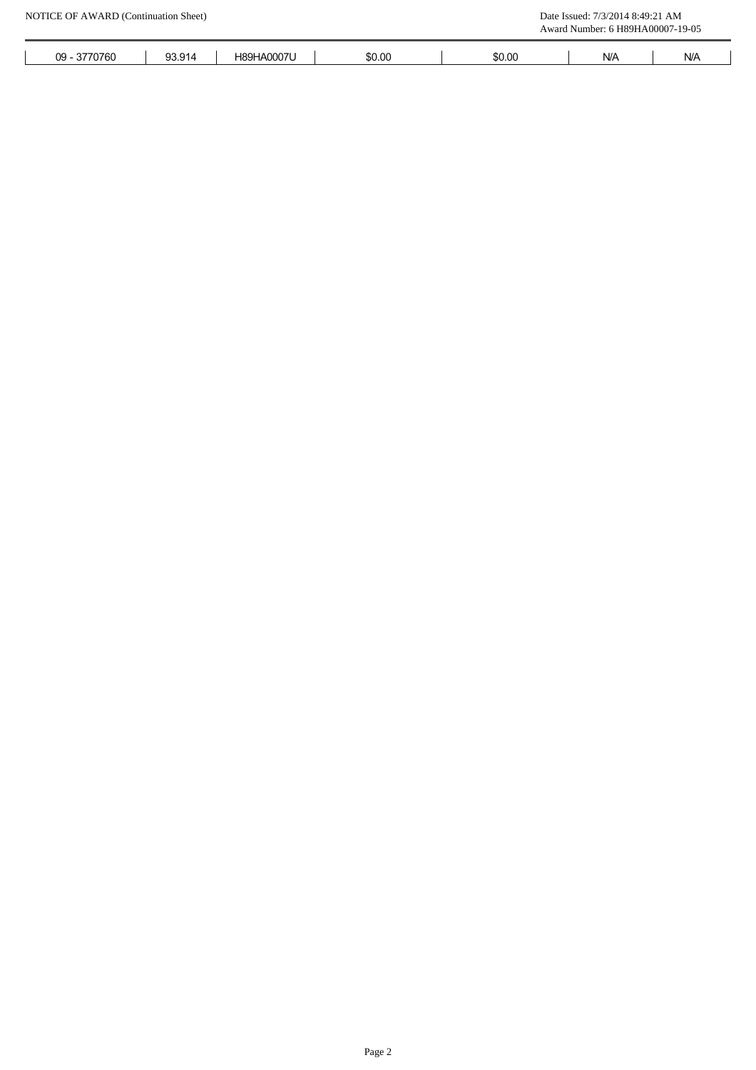|              |        |            |        |        | Award Number: 6 H89HA00007-19-05 |                         |
|--------------|--------|------------|--------|--------|----------------------------------|-------------------------|
| 09 - 3770760 | 93.914 | H89HA0007U | \$0.00 | \$0.00 | $\mathsf{N}/\mathsf{A}$          | $\mathsf{N}/\mathsf{A}$ |
|              |        |            |        |        |                                  |                         |
|              |        |            |        |        |                                  |                         |
|              |        |            |        |        |                                  |                         |
|              |        |            |        |        |                                  |                         |
|              |        |            |        |        |                                  |                         |
|              |        |            |        |        |                                  |                         |
|              |        |            |        |        |                                  |                         |
|              |        |            |        |        |                                  |                         |
|              |        |            |        |        |                                  |                         |
|              |        |            |        |        |                                  |                         |
|              |        |            |        |        |                                  |                         |
|              |        |            |        |        |                                  |                         |
|              |        |            |        |        |                                  |                         |
|              |        |            |        |        |                                  |                         |
|              |        |            |        |        |                                  |                         |
|              |        |            |        |        |                                  |                         |
|              |        |            |        |        |                                  |                         |
|              |        |            |        |        |                                  |                         |
|              |        |            |        |        |                                  |                         |
|              |        |            |        |        |                                  |                         |
|              |        |            |        |        |                                  |                         |
|              |        |            |        |        |                                  |                         |
|              |        |            |        |        |                                  |                         |
|              |        |            |        |        |                                  |                         |
|              |        |            |        |        |                                  |                         |
|              |        |            |        |        |                                  |                         |
|              |        |            |        |        |                                  |                         |
|              |        |            |        |        |                                  |                         |
|              |        |            |        |        |                                  |                         |
|              |        |            |        |        |                                  |                         |
|              |        |            |        |        |                                  |                         |
|              |        |            |        |        |                                  |                         |
|              |        |            |        |        |                                  |                         |
|              |        |            |        |        |                                  |                         |
|              |        |            |        |        |                                  |                         |
|              |        |            |        |        |                                  |                         |
|              |        |            |        |        |                                  |                         |
|              |        |            |        |        |                                  |                         |
|              |        |            |        |        |                                  |                         |
|              |        |            |        |        |                                  |                         |
|              |        |            |        |        |                                  |                         |
|              |        |            |        |        |                                  |                         |
|              |        |            |        |        |                                  |                         |
|              |        |            |        |        |                                  |                         |
|              |        |            |        |        |                                  |                         |
|              |        |            |        |        |                                  |                         |
|              |        |            |        |        |                                  |                         |
|              |        |            |        |        |                                  |                         |
|              |        |            | Page 2 |        |                                  |                         |